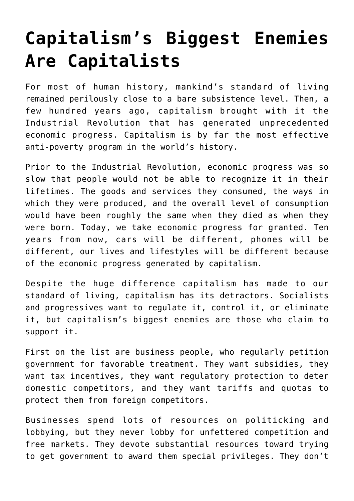## **[Capitalism's Biggest Enemies](https://intellectualtakeout.org/2018/01/capitalisms-biggest-enemies-are-capitalists/) [Are Capitalists](https://intellectualtakeout.org/2018/01/capitalisms-biggest-enemies-are-capitalists/)**

For most of human history, mankind's standard of living remained perilously close to a bare subsistence level. Then, a few hundred years ago, capitalism brought with it the Industrial Revolution that has generated unprecedented economic progress. Capitalism is by far the most effective anti-poverty program in the world's history.

Prior to the Industrial Revolution, economic progress was so slow that people would not be able to recognize it in their lifetimes. The goods and services they consumed, the ways in which they were produced, and the overall level of consumption would have been roughly the same when they died as when they were born. Today, we take economic progress for granted. Ten years from now, cars will be different, phones will be different, our lives and lifestyles will be different because of the economic progress generated by capitalism.

Despite the huge difference capitalism has made to our standard of living, capitalism has its detractors. Socialists and progressives want to regulate it, control it, or eliminate it, but capitalism's biggest enemies are those who claim to support it.

First on the list are business people, who regularly petition government for favorable treatment. They want subsidies, they want tax incentives, they want regulatory protection to deter domestic competitors, and they want tariffs and quotas to protect them from foreign competitors.

Businesses spend lots of resources on politicking and lobbying, but they never lobby for unfettered competition and free markets. They devote substantial resources toward trying to get government to award them special privileges. They don't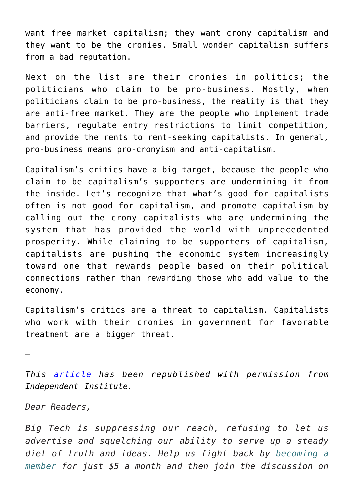want free market capitalism; they want crony capitalism and they want to be the cronies. Small wonder capitalism suffers from a bad reputation.

Next on the list are their cronies in politics; the politicians who claim to be pro-business. Mostly, when politicians claim to be pro-business, the reality is that they are anti-free market. They are the people who implement trade barriers, regulate entry restrictions to limit competition, and provide the rents to rent-seeking capitalists. In general, pro-business means pro-cronyism and anti-capitalism.

Capitalism's critics have a big target, because the people who claim to be capitalism's supporters are undermining it from the inside. Let's recognize that what's good for capitalists often is not good for capitalism, and promote capitalism by calling out the crony capitalists who are undermining the system that has provided the world with unprecedented prosperity. While claiming to be supporters of capitalism, capitalists are pushing the economic system increasingly toward one that rewards people based on their political connections rather than rewarding those who add value to the economy.

Capitalism's critics are a threat to capitalism. Capitalists who work with their cronies in government for favorable treatment are a bigger threat.

—

*This [article](http://blog.independent.org/2018/01/24/capitalisms-biggest-enemies-are-capitalists/) has been republished with permission from Independent Institute.*

*Dear Readers,*

*Big Tech is suppressing our reach, refusing to let us advertise and squelching our ability to serve up a steady diet of truth and ideas. Help us fight back by [becoming a](https://www.chroniclesmagazine.org/subscribe/) [member](https://www.chroniclesmagazine.org/subscribe/) for just \$5 a month and then join the discussion on*